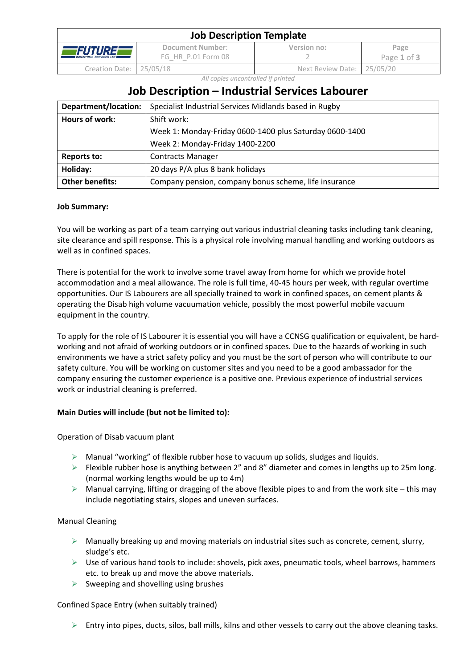| <b>Job Description Template</b>                      |                                        |                            |                     |  |
|------------------------------------------------------|----------------------------------------|----------------------------|---------------------|--|
| <i>FUTUREE</i><br><b>INDUSTRIAL SERVICES LTD III</b> | Document Number:<br>FG HR P.01 Form 08 | Version no:                | Page<br>Page 1 of 3 |  |
| Creation Date: 25/05/18                              |                                        | Next Review Date: 25/05/20 |                     |  |

*All copies uncontrolled if printed*

# **Job Description – Industrial Services Labourer**

| Department/location:   | Specialist Industrial Services Midlands based in Rugby  |  |
|------------------------|---------------------------------------------------------|--|
| Hours of work:         | Shift work:                                             |  |
|                        | Week 1: Monday-Friday 0600-1400 plus Saturday 0600-1400 |  |
|                        | Week 2: Monday-Friday 1400-2200                         |  |
| <b>Reports to:</b>     | <b>Contracts Manager</b>                                |  |
| Holiday:               | 20 days P/A plus 8 bank holidays                        |  |
| <b>Other benefits:</b> | Company pension, company bonus scheme, life insurance   |  |

# **Job Summary:**

You will be working as part of a team carrying out various industrial cleaning tasks including tank cleaning, site clearance and spill response. This is a physical role involving manual handling and working outdoors as well as in confined spaces.

There is potential for the work to involve some travel away from home for which we provide hotel accommodation and a meal allowance. The role is full time, 40-45 hours per week, with regular overtime opportunities. Our IS Labourers are all specially trained to work in confined spaces, on cement plants & operating the Disab high volume vacuumation vehicle, possibly the most powerful mobile vacuum equipment in the country.

To apply for the role of IS Labourer it is essential you will have a CCNSG qualification or equivalent, be hardworking and not afraid of working outdoors or in confined spaces. Due to the hazards of working in such environments we have a strict safety policy and you must be the sort of person who will contribute to our safety culture. You will be working on customer sites and you need to be a good ambassador for the company ensuring the customer experience is a positive one. Previous experience of industrial services work or industrial cleaning is preferred.

# **Main Duties will include (but not be limited to):**

Operation of Disab vacuum plant

- $\triangleright$  Manual "working" of flexible rubber hose to vacuum up solids, sludges and liquids.
- ➢ Flexible rubber hose is anything between 2" and 8" diameter and comes in lengths up to 25m long. (normal working lengths would be up to 4m)
- $\triangleright$  Manual carrying, lifting or dragging of the above flexible pipes to and from the work site this may include negotiating stairs, slopes and uneven surfaces.

### Manual Cleaning

- $\triangleright$  Manually breaking up and moving materials on industrial sites such as concrete, cement, slurry, sludge's etc.
- ➢ Use of various hand tools to include: shovels, pick axes, pneumatic tools, wheel barrows, hammers etc. to break up and move the above materials.
- $\triangleright$  Sweeping and shovelling using brushes

### Confined Space Entry (when suitably trained)

 $\triangleright$  Entry into pipes, ducts, silos, ball mills, kilns and other vessels to carry out the above cleaning tasks.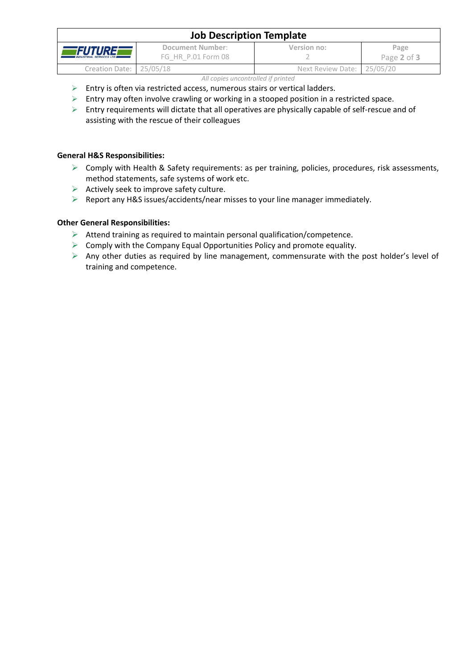| <b>Job Description Template</b>            |                                        |                            |                     |  |  |
|--------------------------------------------|----------------------------------------|----------------------------|---------------------|--|--|
| FUTUREF<br><b>INDUSTRIAL SERVICES LTD.</b> | Document Number:<br>FG HR P.01 Form 08 | Version no:                | Page<br>Page 2 of 3 |  |  |
| Creation Date: 25/05/18                    |                                        | Next Review Date: 25/05/20 |                     |  |  |
| All copies uncontrolled if printed         |                                        |                            |                     |  |  |

- ➢ Entry is often via restricted access, numerous stairs or vertical ladders.
- ➢ Entry may often involve crawling or working in a stooped position in a restricted space.
- ➢ Entry requirements will dictate that all operatives are physically capable of self-rescue and of assisting with the rescue of their colleagues

# **General H&S Responsibilities:**

- ➢ Comply with Health & Safety requirements: as per training, policies, procedures, risk assessments, method statements, safe systems of work etc.
- $\triangleright$  Actively seek to improve safety culture.
- ➢ Report any H&S issues/accidents/near misses to your line manager immediately.

# **Other General Responsibilities:**

- $\triangleright$  Attend training as required to maintain personal qualification/competence.
- $\triangleright$  Comply with the Company Equal Opportunities Policy and promote equality.
- $\triangleright$  Any other duties as required by line management, commensurate with the post holder's level of training and competence.